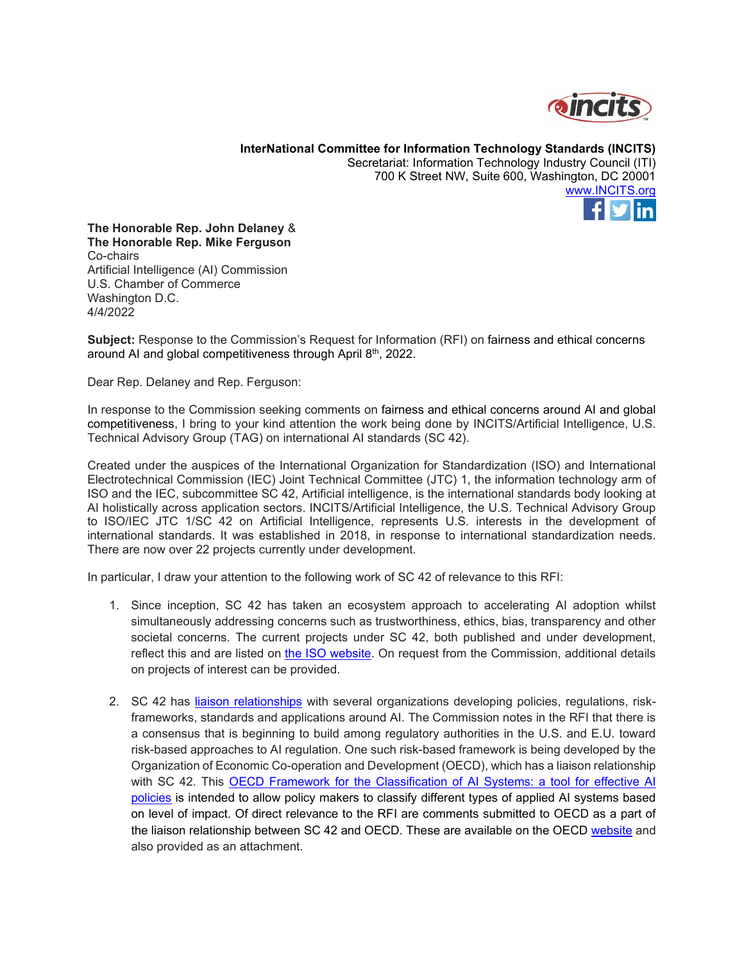

**InterNational Committee for Information Technology Standards (INCITS)** Secretariat: Information Technology Industry Council (ITI) 700 K Street NW, Suite 600, Washington, DC 20001 [www.INCITS.org](http://www.incits.org/)



**The Honorable Rep. John Delaney** & **The Honorable Rep. Mike Ferguson** Co-chairs Artificial Intelligence (AI) Commission U.S. Chamber of Commerce Washington D.C. 4/4/2022

**Subject:** Response to the Commission's Request for Information (RFI) on fairness and ethical concerns around AI and global competitiveness through April 8<sup>th</sup>, 2022.

Dear Rep. Delaney and Rep. Ferguson:

In response to the Commission seeking comments on fairness and ethical concerns around AI and global competitiveness, I bring to your kind attention the work being done by INCITS/Artificial Intelligence, U.S. Technical Advisory Group (TAG) on international AI standards (SC 42).

Created under the auspices of the International Organization for Standardization (ISO) and International Electrotechnical Commission (IEC) Joint Technical Committee (JTC) 1, the information technology arm of ISO and the IEC, subcommittee SC 42, Artificial intelligence, is the international standards body looking at AI holistically across application sectors. INCITS/Artificial Intelligence, the U.S. Technical Advisory Group to ISO/IEC JTC 1/SC 42 on Artificial Intelligence, represents U.S. interests in the development of international standards. It was established in 2018, in response to international standardization needs. There are now over 22 projects currently under development.

In particular, I draw your attention to the following work of SC 42 of relevance to this RFI:

- 1. Since inception, SC 42 has taken an ecosystem approach to accelerating AI adoption whilst simultaneously addressing concerns such as trustworthiness, ethics, bias, transparency and other societal concerns. The current projects under SC 42, both published and under development, reflect this and are listed on [the ISO website.](https://www.iso.org/committee/6794475/x/catalogue/) On request from the Commission, additional details on projects of interest can be provided.
- 2. SC 42 has [liaison relationships](https://www.iso.org/committee/6794475.html) with several organizations developing policies, regulations, riskframeworks, standards and applications around AI. The Commission notes in the RFI that there is a consensus that is beginning to build among regulatory authorities in the U.S. and E.U. toward risk-based approaches to AI regulation. One such risk-based framework is being developed by the Organization of Economic Co-operation and Development (OECD), which has a liaison relationship with SC 42. This [OECD Framework for the Classification of AI Systems: a tool for effective AI](https://oecd.ai/en/classification)  [policies](https://oecd.ai/en/classification) is intended to allow policy makers to classify different types of applied AI systems based on level of impact. Of direct relevance to the RFI are comments submitted to OECD as a part of the liaison relationship between SC 42 and OECD. These are available on the OECD [website](https://wp.oecd.ai/app/uploads/2022/02/Intel.pdf) and also provided as an attachment.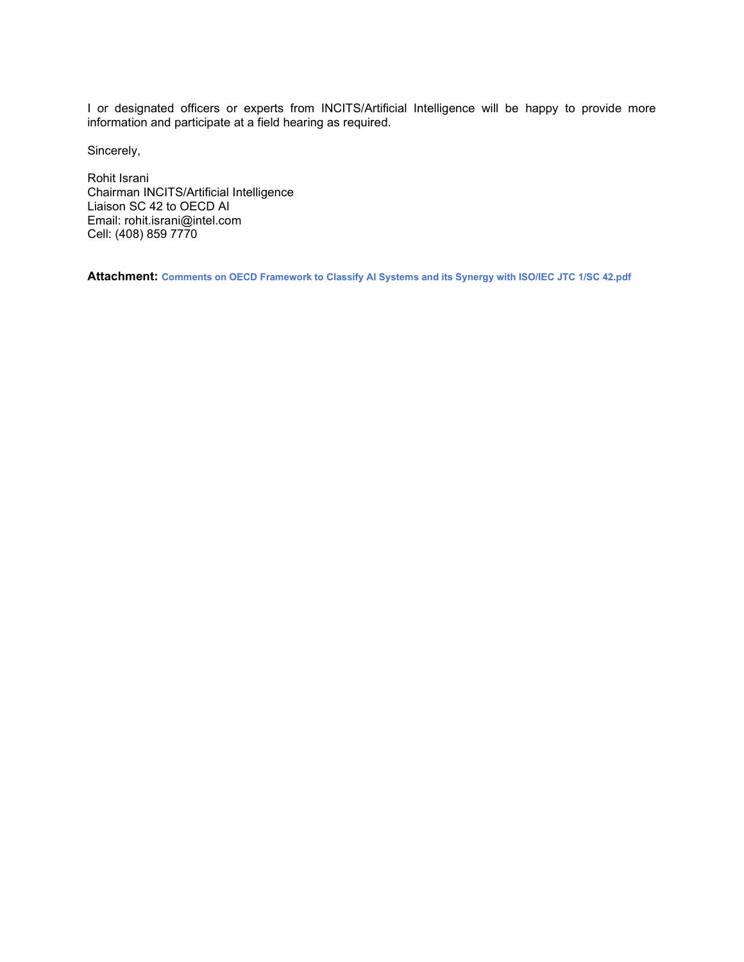I or designated officers or experts from INCITS/Artificial Intelligence will be happy to provide more information and participate at a field hearing as required.

Sincerely,

Rohit Israni Chairman INCITS/Artificial Intelligence Liaison SC 42 to OECD AI Email: rohit.israni@intel.com Cell: (408) 859 7770

**Attachment: Comments on OECD Framework to Classify AI Systems and its Synergy with ISO/IEC JTC 1/SC 42.pdf**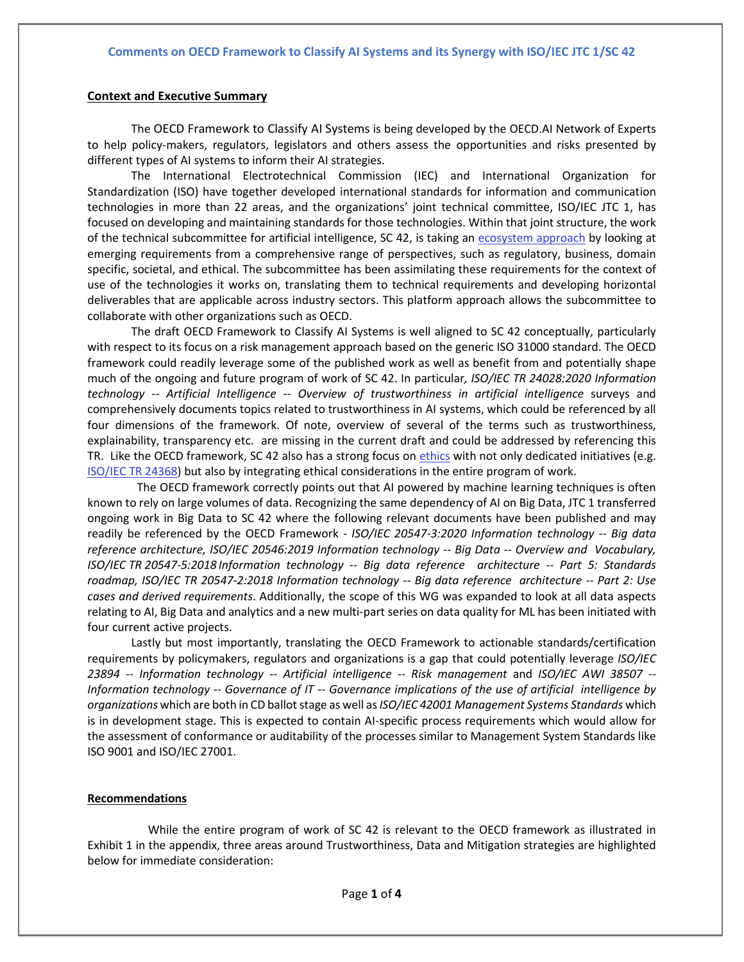#### **Context and Executive Summary**

The [OECD Framework to Classify AI Systems](https://www.oecd.ai/wonk/oecd-ai-system-classification-year-of-progress-ai-governance) is being developed by the OECD.AI Network of Experts to help policy-makers, regulators, legislators and others assess the opportunities and risks presented by different types of AI systems to inform their AI strategies.

The International Electrotechnical Commission (IEC) and International Organization for Standardization (ISO) have together developed international standards for information and communication technologies in more than 22 areas, and the organizations' joint technical committee, ISO/IEC JTC 1, has focused on developing and maintaining standards for those technologies. Within that joint structure, the work of the technical subcommittee for artificial intelligence, SC 42, is taking an [ecosystem approach](https://www.raps.org/news-and-articles/news-articles/2021/6/enabling-the-digital-transformation-of-industry-th) by looking at emerging requirements from a comprehensive range of perspectives, such as regulatory, business, domain specific, societal, and ethical. The subcommittee has been assimilating these requirements for the context of use of the technologies it works on, translating them to technical requirements and developing horizontal deliverables that are applicable across industry sectors. This platform approach allows the subcommittee to collaborate with other organizations such as OECD.

The draft [OECD Framework to Classify AI Systems](https://www.oecd.ai/wonk/oecd-ai-system-classification-year-of-progress-ai-governance) is well aligned to SC 42 conceptually, particularly with respect to its focus on a risk management approach based on the generic ISO 31000 standard. The OECD framework could readily leverage some of the published work as well as benefit from and potentially shape much of the ongoing and future program of work of SC 42. In particular*, ISO/IEC TR 24028:2020 Information technology -- Artificial Intelligence -- Overview of trustworthiness in artificial intelligence* surveys and comprehensively documents topics related to trustworthiness in AI systems, which could be referenced by all four dimensions of the framework. Of note, overview of several of the terms such as trustworthiness, explainability, transparency etc. are missing in the current draft and could be addressed by referencing this TR. Like the OECD framework, SC 42 also has a strong focus on [ethics](https://www.iso.org/news/ref2454.html) with not only dedicated initiatives (e.g. [ISO/IEC TR 24368\)](https://www.iso.org/standard/78507.html) but also by integrating ethical considerations in the entire program of work.

 The OECD framework correctly points out that AI powered by machine learning techniques is often known to rely on large volumes of data. Recognizing the same dependency of AI on Big Data, JTC 1 transferred ongoing work in Big Data to SC 42 where the following relevant documents have been published and may readily be referenced by the OECD Framework - *ISO/IEC 20547-3:2020 Information technology -- Big data reference architecture, ISO/IEC 20546:2019 Information technology -- Big Data -- Overview and Vocabulary, ISO/IEC TR 20547-5:2018 Information technology -- Big data reference architecture -- Part 5: Standards roadmap, ISO/IEC TR 20547-2:2018 Information technology -- Big data reference architecture -- Part 2: Use cases and derived requirements*. Additionally, the scope of this WG was expanded to look at all data aspects relating to AI, Big Data and analytics and a new multi-part series on data quality for ML has been initiated with four current active projects.

Lastly but most importantly, translating the OECD Framework to actionable standards/certification requirements by policymakers, regulators and organizations is a gap that could potentially leverage *ISO/IEC 23894 -- Information technology -- Artificial intelligence -- Risk management* and *ISO/IEC AWI 38507 -- Information technology -- Governance of IT -- Governance implications of the use of artificial intelligence by organizations* which are both in CD ballot stage as well as *ISO/IEC 42001 Management Systems Standards* which is in development stage. This is expected to contain AI-specific process requirements which would allow for the assessment of conformance or auditability of the processes similar to Management System Standards like ISO 9001 and ISO/IEC 27001.

#### **Recommendations**

 While the entire program of work of SC 42 is relevant to the OECD framework as illustrated in Exhibit 1 in the appendix, three areas around Trustworthiness, Data and Mitigation strategies are highlighted below for immediate consideration: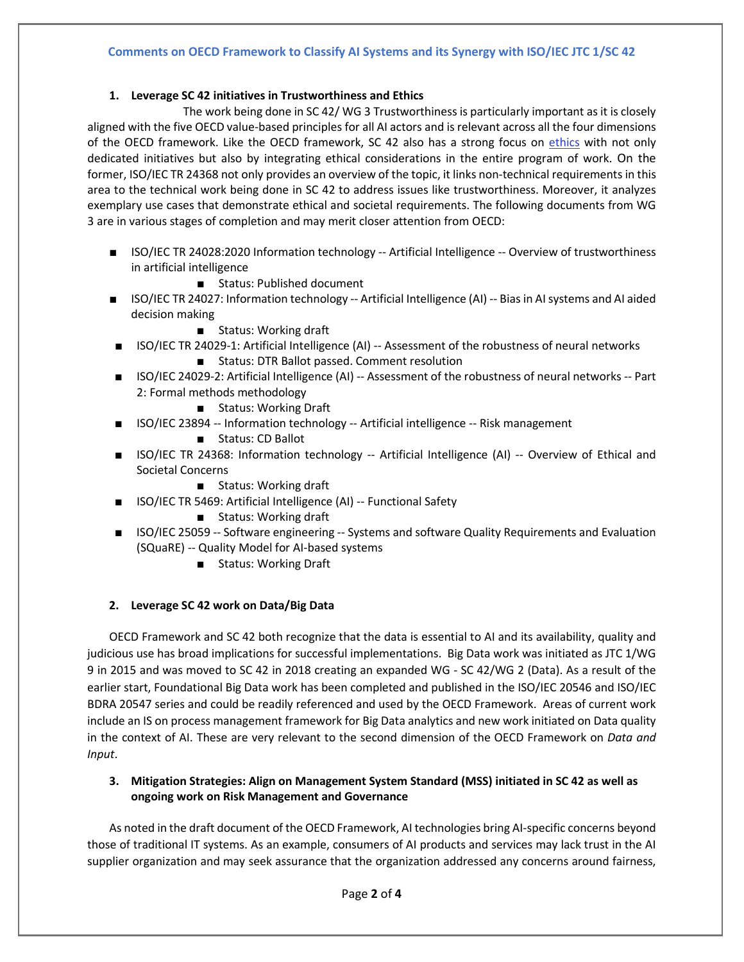### **1. Leverage SC 42 initiatives in Trustworthiness and Ethics**

 The work being done in SC 42/ WG 3 Trustworthiness is particularly important as it is closely aligned with the five OECD value-based principles for all AI actors and is relevant across all the four dimensions of the OECD framework. Like the OECD framework, SC 42 also has a strong focus on [ethics](https://www.iso.org/news/ref2454.html) with not only dedicated initiatives but also by integrating ethical considerations in the entire program of work. On the former, ISO/IEC TR 24368 not only provides an overview of the topic, it links non-technical requirements in this area to the technical work being done in SC 42 to address issues like trustworthiness. Moreover, it analyzes exemplary use cases that demonstrate ethical and societal requirements. The following documents from WG 3 are in various stages of completion and may merit closer attention from OECD:

- ISO/IEC TR 24028:2020 Information technology -- Artificial Intelligence -- Overview of trustworthiness in artificial intelligence
	- Status: Published document
- ISO/IEC TR 24027: Information technology -- Artificial Intelligence (AI) -- Bias in AI systems and AI aided decision making
	- Status: Working draft
- ISO/IEC TR 24029-1: Artificial Intelligence (AI) -- Assessment of the robustness of neural networks ■ Status: DTR Ballot passed. Comment resolution
- ISO/IEC 24029-2: Artificial Intelligence (AI) -- Assessment of the robustness of neural networks -- Part 2: Formal methods methodology
	- Status: Working Draft
- ISO/IEC 23894 -- Information technology -- Artificial intelligence -- Risk management
	- Status: CD Ballot
- ISO/IEC TR 24368: Information technology -- Artificial Intelligence (AI) -- Overview of Ethical and Societal Concerns
	- Status: Working draft
- ISO/IEC TR 5469: Artificial Intelligence (AI) -- Functional Safety
	- Status: Working draft
- ISO/IEC 25059 -- Software engineering -- Systems and software Quality Requirements and Evaluation (SQuaRE) -- Quality Model for AI-based systems
	- Status: Working Draft

## **2. Leverage SC 42 work on Data/Big Data**

OECD Framework and SC 42 both recognize that the data is essential to AI and its availability, quality and judicious use has broad implications for successful implementations. Big Data work was initiated as JTC 1/WG 9 in 2015 and was moved to SC 42 in 2018 creating an expanded WG - SC 42/WG 2 (Data). As a result of the earlier start, Foundational Big Data work has been completed and published in the ISO/IEC 20546 and ISO/IEC BDRA 20547 series and could be readily referenced and used by the OECD Framework. Areas of current work include an IS on process management framework for Big Data analytics and new work initiated on Data quality in the context of AI. These are very relevant to the second dimension of the OECD Framework on *Data and Input*.

## **3. Mitigation Strategies: Align on Management System Standard (MSS) initiated in SC 42 as well as ongoing work on Risk Management and Governance**

As noted in the draft document of the OECD Framework, AI technologies bring AI-specific concerns beyond those of traditional IT systems. As an example, consumers of AI products and services may lack trust in the AI supplier organization and may seek assurance that the organization addressed any concerns around fairness,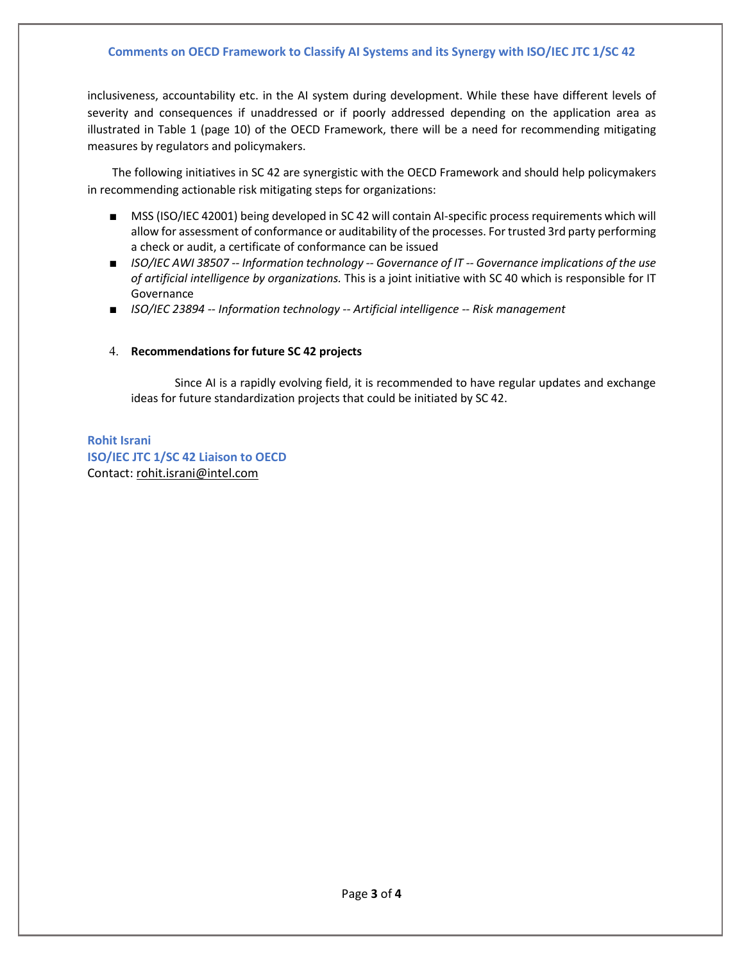inclusiveness, accountability etc. in the AI system during development. While these have different levels of severity and consequences if unaddressed or if poorly addressed depending on the application area as illustrated in Table 1 (page 10) of the OECD Framework, there will be a need for recommending mitigating measures by regulators and policymakers.

The following initiatives in SC 42 are synergistic with the OECD Framework and should help policymakers in recommending actionable risk mitigating steps for organizations:

- MSS (ISO/IEC 42001) being developed in SC 42 will contain AI-specific process requirements which will allow for assessment of conformance or auditability of the processes. For trusted 3rd party performing a check or audit, a certificate of conformance can be issued
- *ISO/IEC AWI 38507 -- Information technology -- Governance of IT -- Governance implications of the use of artificial intelligence by organizations.* This is a joint initiative with SC 40 which is responsible for IT Governance
- *ISO/IEC 23894 -- Information technology -- Artificial intelligence -- Risk management*

## 4. **Recommendations for future SC 42 projects**

Since AI is a rapidly evolving field, it is recommended to have regular updates and exchange ideas for future standardization projects that could be initiated by SC 42.

**Rohit Israni ISO/IEC JTC 1/SC 42 Liaison to OECD** Contact: rohit.israni@intel.com